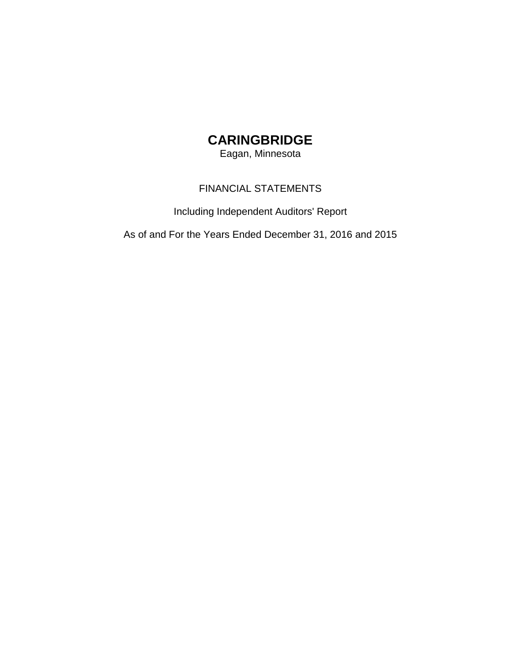Eagan, Minnesota

# FINANCIAL STATEMENTS

Including Independent Auditors' Report

As of and For the Years Ended December 31, 2016 and 2015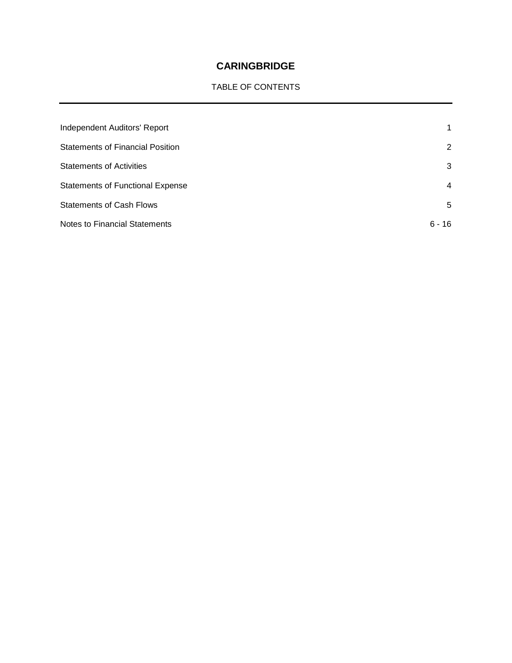# TABLE OF CONTENTS

| Independent Auditors' Report            | 1        |
|-----------------------------------------|----------|
| <b>Statements of Financial Position</b> | 2        |
| <b>Statements of Activities</b>         | 3        |
| <b>Statements of Functional Expense</b> | 4        |
| <b>Statements of Cash Flows</b>         | 5        |
| <b>Notes to Financial Statements</b>    | $6 - 16$ |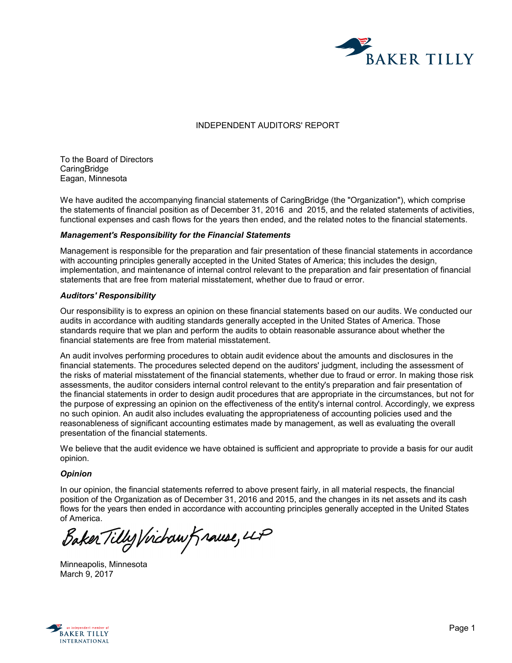

# INDEPENDENT AUDITORS' REPORT

To the Board of Directors **CaringBridge** Eagan, Minnesota

We have audited the accompanying financial statements of CaringBridge (the "Organization"), which comprise the statements of financial position as of December 31, 2016 and 2015, and the related statements of activities, functional expenses and cash flows for the years then ended, and the related notes to the financial statements.

# *Management's Responsibility for the Financial Statements*

Management is responsible for the preparation and fair presentation of these financial statements in accordance with accounting principles generally accepted in the United States of America; this includes the design, implementation, and maintenance of internal control relevant to the preparation and fair presentation of financial statements that are free from material misstatement, whether due to fraud or error.

# *Auditors' Responsibility*

Our responsibility is to express an opinion on these financial statements based on our audits. We conducted our audits in accordance with auditing standards generally accepted in the United States of America. Those standards require that we plan and perform the audits to obtain reasonable assurance about whether the financial statements are free from material misstatement.

An audit involves performing procedures to obtain audit evidence about the amounts and disclosures in the financial statements. The procedures selected depend on the auditors' judgment, including the assessment of the risks of material misstatement of the financial statements, whether due to fraud or error. In making those risk assessments, the auditor considers internal control relevant to the entity's preparation and fair presentation of the financial statements in order to design audit procedures that are appropriate in the circumstances, but not for the purpose of expressing an opinion on the effectiveness of the entity's internal control. Accordingly, we express no such opinion. An audit also includes evaluating the appropriateness of accounting policies used and the reasonableness of significant accounting estimates made by management, as well as evaluating the overall presentation of the financial statements.

We believe that the audit evidence we have obtained is sufficient and appropriate to provide a basis for our audit opinion.

# *Opinion*

In our opinion, the financial statements referred to above present fairly, in all material respects, the financial position of the Organization as of December 31, 2016 and 2015, and the changes in its net assets and its cash flows for the years then ended in accordance with accounting principles generally accepted in the United States of America.

Baker Tilly Virchaw Krause, LLP

Minneapolis, Minnesota March 9, 2017

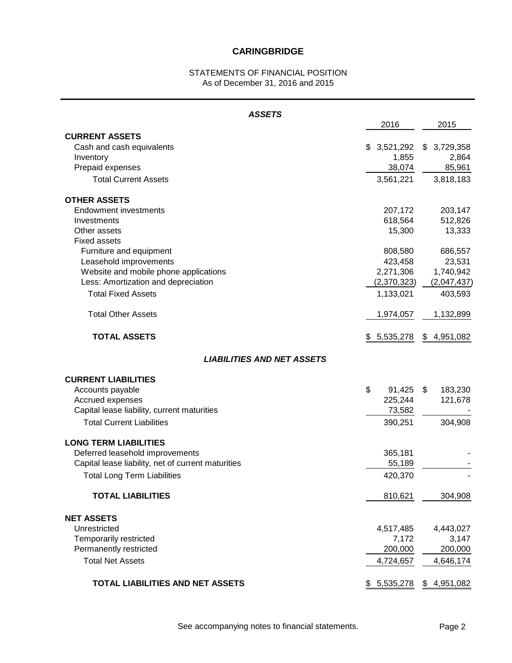# STATEMENTS OF FINANCIAL POSITION As of December 31, 2016 and 2015

| <b>ASSETS</b>                                      |                 |                 |
|----------------------------------------------------|-----------------|-----------------|
|                                                    | 2016            | 2015            |
| <b>CURRENT ASSETS</b>                              |                 |                 |
| Cash and cash equivalents                          | \$3,521,292     | \$3,729,358     |
| Inventory                                          | 1,855           | 2,864           |
| Prepaid expenses                                   | 38,074          | 85,961          |
| <b>Total Current Assets</b>                        | 3,561,221       | 3,818,183       |
| <b>OTHER ASSETS</b>                                |                 |                 |
| <b>Endowment investments</b>                       | 207,172         | 203,147         |
| Investments                                        | 618,564         | 512,826         |
| Other assets                                       | 15,300          | 13,333          |
| <b>Fixed assets</b>                                |                 |                 |
| Furniture and equipment                            | 808,580         | 686,557         |
| Leasehold improvements                             | 423,458         | 23,531          |
| Website and mobile phone applications              | 2,271,306       | 1,740,942       |
| Less: Amortization and depreciation                | (2,370,323)     | (2,047,437)     |
| <b>Total Fixed Assets</b>                          | 1,133,021       | 403,593         |
| <b>Total Other Assets</b>                          | 1,974,057       | 1,132,899       |
| <b>TOTAL ASSETS</b>                                | \$<br>5,535,278 | \$<br>4,951,082 |
| <b>LIABILITIES AND NET ASSETS</b>                  |                 |                 |
| <b>CURRENT LIABILITIES</b>                         |                 |                 |
| Accounts payable                                   | \$<br>91,425    | \$<br>183,230   |
| Accrued expenses                                   | 225,244         | 121,678         |
| Capital lease liability, current maturities        | 73,582          |                 |
| <b>Total Current Liabilities</b>                   | 390,251         | 304,908         |
| <b>LONG TERM LIABILITIES</b>                       |                 |                 |
| Deferred leasehold improvements                    | 365,181         |                 |
| Capital lease liability, net of current maturities | 55,189          |                 |
| <b>Total Long Term Liabilities</b>                 | 420,370         |                 |
| <b>TOTAL LIABILITIES</b>                           | 810,621         | 304,908         |
| <b>NET ASSETS</b>                                  |                 |                 |
| Unrestricted                                       | 4,517,485       | 4,443,027       |
| Temporarily restricted                             | 7,172           | 3,147           |
| Permanently restricted                             | 200,000         | 200,000         |
| <b>Total Net Assets</b>                            | 4,724,657       | 4,646,174       |
| <b>TOTAL LIABILITIES AND NET ASSETS</b>            | \$ 5,535,278    | \$<br>4,951,082 |
|                                                    |                 |                 |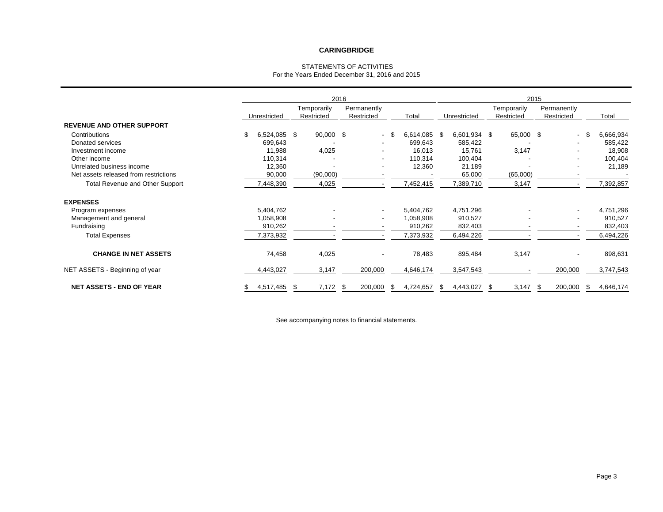#### STATEMENTS OF ACTIVITIES For the Years Ended December 31, 2016 and 2015

|                                        |                    | 2016                      |                           |              |                |                           | 2015                      |                 |  |  |  |  |
|----------------------------------------|--------------------|---------------------------|---------------------------|--------------|----------------|---------------------------|---------------------------|-----------------|--|--|--|--|
|                                        | Unrestricted       | Temporarily<br>Restricted | Permanently<br>Restricted | Total        | Unrestricted   | Temporarily<br>Restricted | Permanently<br>Restricted | Total           |  |  |  |  |
| <b>REVENUE AND OTHER SUPPORT</b>       |                    |                           |                           |              |                |                           |                           |                 |  |  |  |  |
| Contributions                          | \$<br>6,524,085 \$ | 90,000 \$                 | \$<br>$\sim$              | 6,614,085 \$ | 6,601,934 \$   | 65,000 \$                 | $\sim$                    | \$<br>6,666,934 |  |  |  |  |
| Donated services                       | 699,643            |                           |                           | 699,643      | 585,422        |                           |                           | 585,422         |  |  |  |  |
| Investment income                      | 11,988             | 4,025                     |                           | 16,013       | 15,761         | 3,147                     | $\overline{\phantom{0}}$  | 18,908          |  |  |  |  |
| Other income                           | 110,314            |                           |                           | 110,314      | 100,404        |                           |                           | 100,404         |  |  |  |  |
| Unrelated business income              | 12,360             |                           |                           | 12,360       | 21,189         |                           |                           | 21,189          |  |  |  |  |
| Net assets released from restrictions  | 90,000             | (90,000)                  |                           |              | 65,000         | (65,000)                  |                           |                 |  |  |  |  |
| <b>Total Revenue and Other Support</b> | 7,448,390          | 4,025                     |                           | 7,452,415    | 7,389,710      | 3,147                     |                           | 7,392,857       |  |  |  |  |
| <b>EXPENSES</b>                        |                    |                           |                           |              |                |                           |                           |                 |  |  |  |  |
| Program expenses                       | 5,404,762          |                           | $\blacksquare$            | 5,404,762    | 4,751,296      |                           | ٠                         | 4,751,296       |  |  |  |  |
| Management and general                 | 1,058,908          |                           |                           | 1,058,908    | 910,527        |                           |                           | 910,527         |  |  |  |  |
| Fundraising                            | 910,262            |                           |                           | 910,262      | 832,403        |                           |                           | 832,403         |  |  |  |  |
| <b>Total Expenses</b>                  | 7,373,932          |                           |                           | 7,373,932    | 6,494,226      |                           |                           | 6,494,226       |  |  |  |  |
| <b>CHANGE IN NET ASSETS</b>            | 74,458             | 4,025                     |                           | 78,483       | 895,484        | 3,147                     |                           | 898,631         |  |  |  |  |
| NET ASSETS - Beginning of year         | 4,443,027          | 3,147                     | 200,000                   | 4,646,174    | 3,547,543      |                           | 200,000                   | 3,747,543       |  |  |  |  |
| <b>NET ASSETS - END OF YEAR</b>        | 4,517,485 \$<br>S  | 7,172                     | - \$<br>200,000<br>\$     | 4,724,657    | 4,443,027<br>S | 3,147<br>\$               | \$<br>200,000             | \$<br>4,646,174 |  |  |  |  |

See accompanying notes to financial statements.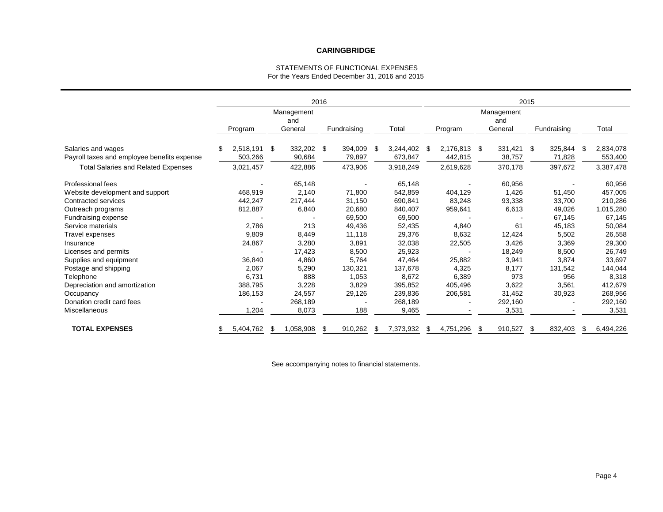#### For the Years Ended December 31, 2016 and 2015 STATEMENTS OF FUNCTIONAL EXPENSES

|                                             |     |           |      |                | 2016 |             |      |           |      |           |                | 2015 |             |    |           |
|---------------------------------------------|-----|-----------|------|----------------|------|-------------|------|-----------|------|-----------|----------------|------|-------------|----|-----------|
|                                             |     |           |      | Management     |      |             |      |           |      |           | Management     |      |             |    |           |
|                                             |     | Program   |      | and<br>General |      | Fundraising |      | Total     |      | Program   | and<br>General |      | Fundraising |    | Total     |
|                                             |     |           |      |                |      |             |      |           |      |           |                |      |             |    |           |
| Salaries and wages                          | \$. | 2,518,191 | - \$ | 332,202 \$     |      | 394,009     | \$   | 3,244,402 | - \$ | 2,176,813 | \$<br>331,421  | -\$  | 325,844     | \$ | 2,834,078 |
| Payroll taxes and employee benefits expense |     | 503,266   |      | 90,684         |      | 79,897      |      | 673,847   |      | 442,815   | 38,757         |      | 71,828      |    | 553,400   |
| <b>Total Salaries and Related Expenses</b>  |     | 3,021,457 |      | 422,886        |      | 473,906     |      | 3,918,249 |      | 2,619,628 | 370.178        |      | 397,672     |    | 3,387,478 |
| Professional fees                           |     |           |      | 65,148         |      |             |      | 65,148    |      |           | 60,956         |      |             |    | 60,956    |
| Website development and support             |     | 468,919   |      | 2,140          |      | 71,800      |      | 542,859   |      | 404,129   | 1,426          |      | 51,450      |    | 457,005   |
| Contracted services                         |     | 442,247   |      | 217,444        |      | 31.150      |      | 690,841   |      | 83,248    | 93,338         |      | 33,700      |    | 210,286   |
| Outreach programs                           |     | 812,887   |      | 6,840          |      | 20,680      |      | 840,407   |      | 959,641   | 6,613          |      | 49,026      |    | 1,015,280 |
| Fundraising expense                         |     |           |      |                |      | 69,500      |      | 69,500    |      |           |                |      | 67,145      |    | 67,145    |
| Service materials                           |     | 2,786     |      | 213            |      | 49,436      |      | 52,435    |      | 4,840     | 61             |      | 45,183      |    | 50,084    |
| Travel expenses                             |     | 9,809     |      | 8,449          |      | 11,118      |      | 29,376    |      | 8,632     | 12,424         |      | 5,502       |    | 26,558    |
| Insurance                                   |     | 24,867    |      | 3,280          |      | 3,891       |      | 32,038    |      | 22,505    | 3,426          |      | 3,369       |    | 29,300    |
| Licenses and permits                        |     |           |      | 17,423         |      | 8,500       |      | 25,923    |      |           | 18,249         |      | 8,500       |    | 26,749    |
| Supplies and equipment                      |     | 36,840    |      | 4,860          |      | 5,764       |      | 47,464    |      | 25,882    | 3,941          |      | 3,874       |    | 33,697    |
| Postage and shipping                        |     | 2,067     |      | 5,290          |      | 130,321     |      | 137,678   |      | 4,325     | 8,177          |      | 131,542     |    | 144,044   |
| Telephone                                   |     | 6.731     |      | 888            |      | 1,053       |      | 8,672     |      | 6,389     | 973            |      | 956         |    | 8,318     |
| Depreciation and amortization               |     | 388,795   |      | 3,228          |      | 3,829       |      | 395,852   |      | 405,496   | 3,622          |      | 3,561       |    | 412,679   |
| Occupancy                                   |     | 186,153   |      | 24,557         |      | 29,126      |      | 239.836   |      | 206,581   | 31,452         |      | 30,923      |    | 268,956   |
| Donation credit card fees                   |     |           |      | 268,189        |      |             |      | 268,189   |      |           | 292,160        |      |             |    | 292,160   |
| <b>Miscellaneous</b>                        |     | 1,204     |      | 8,073          |      | 188         |      | 9,465     |      |           | 3,531          |      |             |    | 3,531     |
| <b>TOTAL EXPENSES</b>                       | \$. | 5,404,762 | - \$ | 1,058,908      | -S   | 910,262     | - \$ | 7,373,932 | £.   | 4.751.296 | \$<br>910,527  | S    | 832,403     | S  | 6,494,226 |

See accompanying notes to financial statements.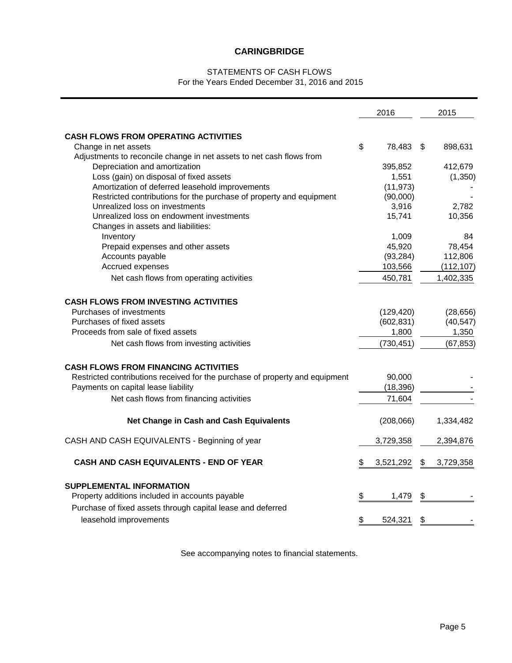# STATEMENTS OF CASH FLOWS

For the Years Ended December 31, 2016 and 2015

|                                                                              | 2016            |    | 2015       |
|------------------------------------------------------------------------------|-----------------|----|------------|
| <b>CASH FLOWS FROM OPERATING ACTIVITIES</b>                                  |                 |    |            |
| Change in net assets                                                         | \$<br>78,483    | \$ | 898,631    |
| Adjustments to reconcile change in net assets to net cash flows from         |                 |    |            |
| Depreciation and amortization                                                | 395,852         |    | 412,679    |
| Loss (gain) on disposal of fixed assets                                      | 1,551           |    | (1, 350)   |
| Amortization of deferred leasehold improvements                              | (11, 973)       |    |            |
| Restricted contributions for the purchase of property and equipment          | (90,000)        |    |            |
| Unrealized loss on investments                                               | 3,916           |    | 2,782      |
| Unrealized loss on endowment investments                                     | 15,741          |    | 10,356     |
| Changes in assets and liabilities:                                           |                 |    |            |
| Inventory                                                                    | 1,009           |    | 84         |
| Prepaid expenses and other assets                                            | 45,920          |    | 78,454     |
| Accounts payable                                                             | (93, 284)       |    | 112,806    |
| Accrued expenses                                                             | 103,566         |    | (112, 107) |
| Net cash flows from operating activities                                     | 450,781         |    | 1,402,335  |
| <b>CASH FLOWS FROM INVESTING ACTIVITIES</b>                                  |                 |    |            |
| Purchases of investments                                                     | (129, 420)      |    | (28, 656)  |
| Purchases of fixed assets                                                    | (602, 831)      |    | (40, 547)  |
| Proceeds from sale of fixed assets                                           | 1,800           |    | 1,350      |
| Net cash flows from investing activities                                     | (730, 451)      |    | (67, 853)  |
| <b>CASH FLOWS FROM FINANCING ACTIVITIES</b>                                  |                 |    |            |
| Restricted contributions received for the purchase of property and equipment | 90,000          |    |            |
| Payments on capital lease liability                                          | (18, 396)       |    |            |
| Net cash flows from financing activities                                     | 71,604          |    |            |
| Net Change in Cash and Cash Equivalents                                      | (208,066)       |    | 1,334,482  |
| CASH AND CASH EQUIVALENTS - Beginning of year                                | 3,729,358       |    | 2,394,876  |
| <b>CASH AND CASH EQUIVALENTS - END OF YEAR</b>                               | \$<br>3,521,292 | \$ | 3,729,358  |
| <b>SUPPLEMENTAL INFORMATION</b>                                              |                 |    |            |
| Property additions included in accounts payable                              | \$<br>1,479     | \$ |            |
| Purchase of fixed assets through capital lease and deferred                  |                 |    |            |
| leasehold improvements                                                       | \$<br>524,321   | \$ |            |

See accompanying notes to financial statements.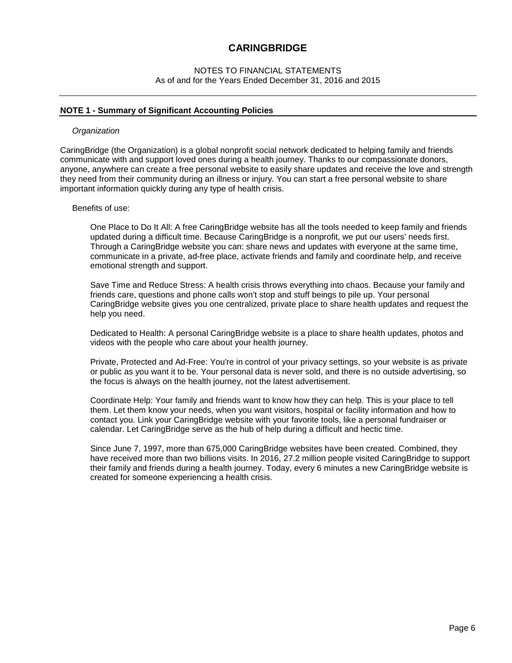### NOTES TO FINANCIAL STATEMENTS As of and for the Years Ended December 31, 2016 and 2015

# **NOTE 1 - Summary of Significant Accounting Policies**

#### *Organization*

CaringBridge (the Organization) is a global nonprofit social network dedicated to helping family and friends communicate with and support loved ones during a health journey. Thanks to our compassionate donors, anyone, anywhere can create a free personal website to easily share updates and receive the love and strength they need from their community during an illness or injury. You can start a free personal website to share important information quickly during any type of health crisis.

Benefits of use:

One Place to Do It All: A free CaringBridge website has all the tools needed to keep family and friends updated during a difficult time. Because CaringBridge is a nonprofit, we put our users' needs first. Through a CaringBridge website you can: share news and updates with everyone at the same time, communicate in a private, ad-free place, activate friends and family and coordinate help, and receive emotional strength and support.

Save Time and Reduce Stress: A health crisis throws everything into chaos. Because your family and friends care, questions and phone calls won't stop and stuff beings to pile up. Your personal CaringBridge website gives you one centralized, private place to share health updates and request the help you need.

Dedicated to Health: A personal CaringBridge website is a place to share health updates, photos and videos with the people who care about your health journey.

Private, Protected and Ad-Free: You're in control of your privacy settings, so your website is as private or public as you want it to be. Your personal data is never sold, and there is no outside advertising, so the focus is always on the health journey, not the latest advertisement.

Coordinate Help: Your family and friends want to know how they can help. This is your place to tell them. Let them know your needs, when you want visitors, hospital or facility information and how to contact you. Link your CaringBridge website with your favorite tools, like a personal fundraiser or calendar. Let CaringBridge serve as the hub of help during a difficult and hectic time.

Since June 7, 1997, more than 675,000 CaringBridge websites have been created. Combined, they have received more than two billions visits. In 2016, 27.2 million people visited CaringBridge to support their family and friends during a health journey. Today, every 6 minutes a new CaringBridge website is created for someone experiencing a health crisis.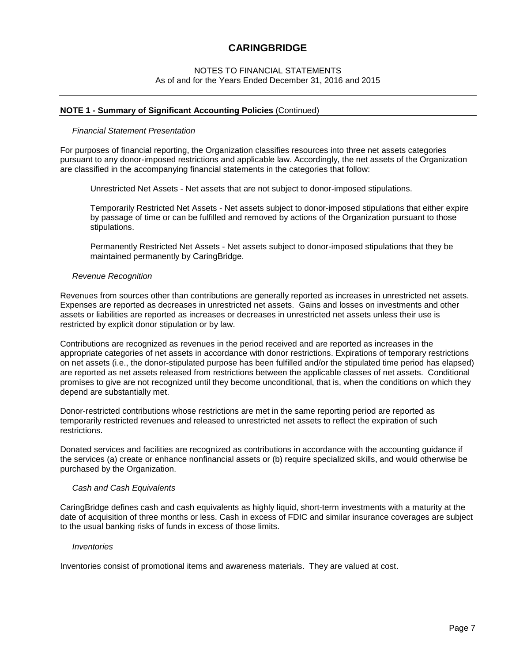### NOTES TO FINANCIAL STATEMENTS As of and for the Years Ended December 31, 2016 and 2015

### **NOTE 1 - Summary of Significant Accounting Policies** (Continued)

#### *Financial Statement Presentation*

For purposes of financial reporting, the Organization classifies resources into three net assets categories pursuant to any donor-imposed restrictions and applicable law. Accordingly, the net assets of the Organization are classified in the accompanying financial statements in the categories that follow:

Unrestricted Net Assets - Net assets that are not subject to donor-imposed stipulations.

Temporarily Restricted Net Assets - Net assets subject to donor-imposed stipulations that either expire by passage of time or can be fulfilled and removed by actions of the Organization pursuant to those stipulations.

Permanently Restricted Net Assets - Net assets subject to donor-imposed stipulations that they be maintained permanently by CaringBridge.

#### *Revenue Recognition*

Revenues from sources other than contributions are generally reported as increases in unrestricted net assets. Expenses are reported as decreases in unrestricted net assets. Gains and losses on investments and other assets or liabilities are reported as increases or decreases in unrestricted net assets unless their use is restricted by explicit donor stipulation or by law.

Contributions are recognized as revenues in the period received and are reported as increases in the appropriate categories of net assets in accordance with donor restrictions. Expirations of temporary restrictions on net assets (i.e., the donor-stipulated purpose has been fulfilled and/or the stipulated time period has elapsed) are reported as net assets released from restrictions between the applicable classes of net assets. Conditional promises to give are not recognized until they become unconditional, that is, when the conditions on which they depend are substantially met.

Donor-restricted contributions whose restrictions are met in the same reporting period are reported as temporarily restricted revenues and released to unrestricted net assets to reflect the expiration of such restrictions.

Donated services and facilities are recognized as contributions in accordance with the accounting guidance if the services (a) create or enhance nonfinancial assets or (b) require specialized skills, and would otherwise be purchased by the Organization.

## *Cash and Cash Equivalents*

CaringBridge defines cash and cash equivalents as highly liquid, short-term investments with a maturity at the date of acquisition of three months or less. Cash in excess of FDIC and similar insurance coverages are subject to the usual banking risks of funds in excess of those limits.

#### *Inventories*

Inventories consist of promotional items and awareness materials. They are valued at cost.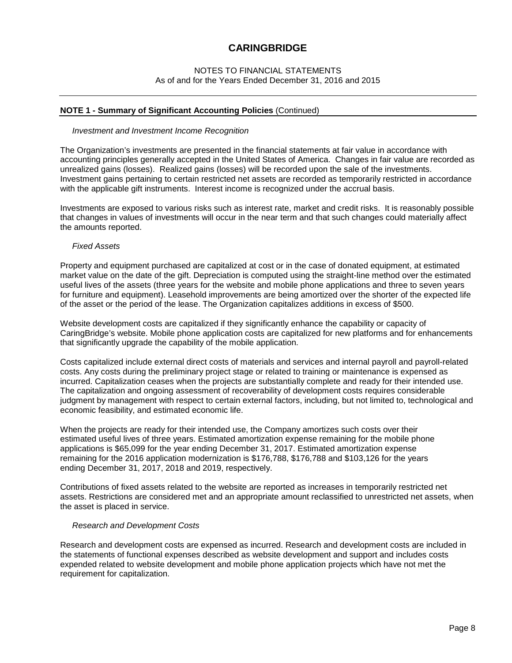### NOTES TO FINANCIAL STATEMENTS As of and for the Years Ended December 31, 2016 and 2015

### **NOTE 1 - Summary of Significant Accounting Policies** (Continued)

#### *Investment and Investment Income Recognition*

The Organization's investments are presented in the financial statements at fair value in accordance with accounting principles generally accepted in the United States of America. Changes in fair value are recorded as unrealized gains (losses). Realized gains (losses) will be recorded upon the sale of the investments. Investment gains pertaining to certain restricted net assets are recorded as temporarily restricted in accordance with the applicable gift instruments. Interest income is recognized under the accrual basis.

Investments are exposed to various risks such as interest rate, market and credit risks. It is reasonably possible that changes in values of investments will occur in the near term and that such changes could materially affect the amounts reported.

#### *Fixed Assets*

Property and equipment purchased are capitalized at cost or in the case of donated equipment, at estimated market value on the date of the gift. Depreciation is computed using the straight-line method over the estimated useful lives of the assets (three years for the website and mobile phone applications and three to seven years for furniture and equipment). Leasehold improvements are being amortized over the shorter of the expected life of the asset or the period of the lease. The Organization capitalizes additions in excess of \$500.

Website development costs are capitalized if they significantly enhance the capability or capacity of CaringBridge's website. Mobile phone application costs are capitalized for new platforms and for enhancements that significantly upgrade the capability of the mobile application.

Costs capitalized include external direct costs of materials and services and internal payroll and payroll-related costs. Any costs during the preliminary project stage or related to training or maintenance is expensed as incurred. Capitalization ceases when the projects are substantially complete and ready for their intended use. The capitalization and ongoing assessment of recoverability of development costs requires considerable judgment by management with respect to certain external factors, including, but not limited to, technological and economic feasibility, and estimated economic life.

When the projects are ready for their intended use, the Company amortizes such costs over their estimated useful lives of three years. Estimated amortization expense remaining for the mobile phone applications is \$65,099 for the year ending December 31, 2017. Estimated amortization expense remaining for the 2016 application modernization is \$176,788, \$176,788 and \$103,126 for the years ending December 31, 2017, 2018 and 2019, respectively.

Contributions of fixed assets related to the website are reported as increases in temporarily restricted net assets. Restrictions are considered met and an appropriate amount reclassified to unrestricted net assets, when the asset is placed in service.

#### *Research and Development Costs*

Research and development costs are expensed as incurred. Research and development costs are included in the statements of functional expenses described as website development and support and includes costs expended related to website development and mobile phone application projects which have not met the requirement for capitalization.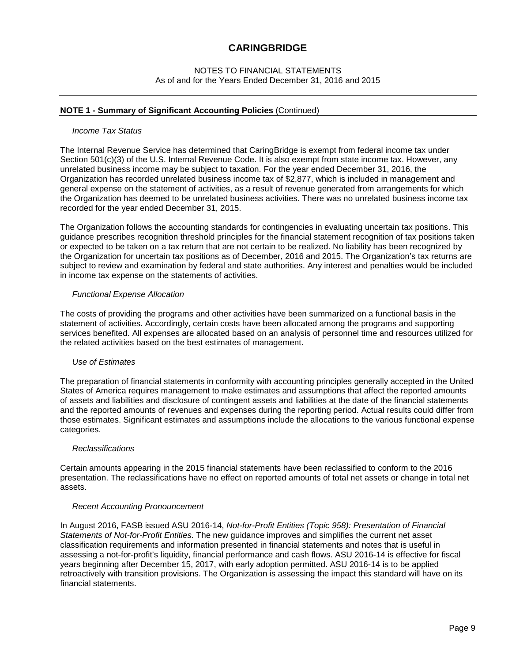## NOTES TO FINANCIAL STATEMENTS As of and for the Years Ended December 31, 2016 and 2015

### **NOTE 1 - Summary of Significant Accounting Policies** (Continued)

#### *Income Tax Status*

The Internal Revenue Service has determined that CaringBridge is exempt from federal income tax under Section 501(c)(3) of the U.S. Internal Revenue Code. It is also exempt from state income tax. However, any unrelated business income may be subject to taxation. For the year ended December 31, 2016, the Organization has recorded unrelated business income tax of \$2,877, which is included in management and general expense on the statement of activities, as a result of revenue generated from arrangements for which the Organization has deemed to be unrelated business activities. There was no unrelated business income tax recorded for the year ended December 31, 2015.

The Organization follows the accounting standards for contingencies in evaluating uncertain tax positions. This guidance prescribes recognition threshold principles for the financial statement recognition of tax positions taken or expected to be taken on a tax return that are not certain to be realized. No liability has been recognized by the Organization for uncertain tax positions as of December, 2016 and 2015. The Organization's tax returns are subject to review and examination by federal and state authorities. Any interest and penalties would be included in income tax expense on the statements of activities.

#### *Functional Expense Allocation*

The costs of providing the programs and other activities have been summarized on a functional basis in the statement of activities. Accordingly, certain costs have been allocated among the programs and supporting services benefited. All expenses are allocated based on an analysis of personnel time and resources utilized for the related activities based on the best estimates of management.

#### *Use of Estimates*

The preparation of financial statements in conformity with accounting principles generally accepted in the United States of America requires management to make estimates and assumptions that affect the reported amounts of assets and liabilities and disclosure of contingent assets and liabilities at the date of the financial statements and the reported amounts of revenues and expenses during the reporting period. Actual results could differ from those estimates. Significant estimates and assumptions include the allocations to the various functional expense categories.

#### *Reclassifications*

Certain amounts appearing in the 2015 financial statements have been reclassified to conform to the 2016 presentation. The reclassifications have no effect on reported amounts of total net assets or change in total net assets.

#### *Recent Accounting Pronouncement*

In August 2016, FASB issued ASU 2016-14, *Not-for-Profit Entities (Topic 958): Presentation of Financial Statements of Not-for-Profit Entities.* The new guidance improves and simplifies the current net asset classification requirements and information presented in financial statements and notes that is useful in assessing a not-for-profit's liquidity, financial performance and cash flows. ASU 2016-14 is effective for fiscal years beginning after December 15, 2017, with early adoption permitted. ASU 2016-14 is to be applied retroactively with transition provisions. The Organization is assessing the impact this standard will have on its financial statements.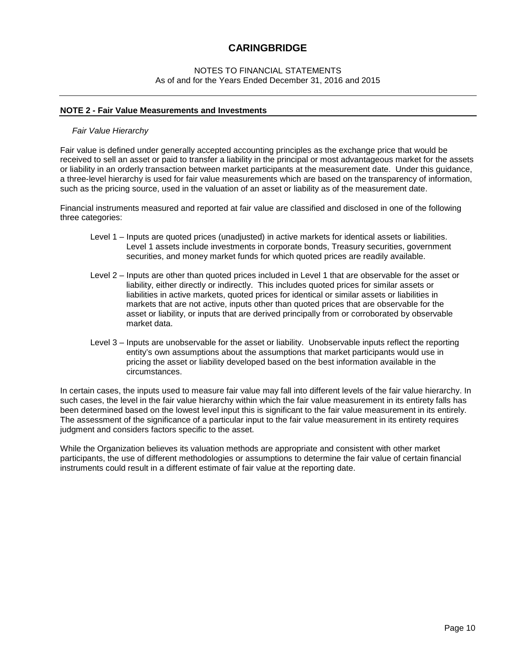# NOTES TO FINANCIAL STATEMENTS As of and for the Years Ended December 31, 2016 and 2015

### **NOTE 2 - Fair Value Measurements and Investments**

#### *Fair Value Hierarchy*

Fair value is defined under generally accepted accounting principles as the exchange price that would be received to sell an asset or paid to transfer a liability in the principal or most advantageous market for the assets or liability in an orderly transaction between market participants at the measurement date. Under this guidance, a three-level hierarchy is used for fair value measurements which are based on the transparency of information, such as the pricing source, used in the valuation of an asset or liability as of the measurement date.

Financial instruments measured and reported at fair value are classified and disclosed in one of the following three categories:

- Level 1 Inputs are quoted prices (unadjusted) in active markets for identical assets or liabilities. Level 1 assets include investments in corporate bonds, Treasury securities, government securities, and money market funds for which quoted prices are readily available.
- Level 2 Inputs are other than quoted prices included in Level 1 that are observable for the asset or liability, either directly or indirectly. This includes quoted prices for similar assets or liabilities in active markets, quoted prices for identical or similar assets or liabilities in markets that are not active, inputs other than quoted prices that are observable for the asset or liability, or inputs that are derived principally from or corroborated by observable market data.
- Level 3 Inputs are unobservable for the asset or liability. Unobservable inputs reflect the reporting entity's own assumptions about the assumptions that market participants would use in pricing the asset or liability developed based on the best information available in the circumstances.

In certain cases, the inputs used to measure fair value may fall into different levels of the fair value hierarchy. In such cases, the level in the fair value hierarchy within which the fair value measurement in its entirety falls has been determined based on the lowest level input this is significant to the fair value measurement in its entirely. The assessment of the significance of a particular input to the fair value measurement in its entirety requires judgment and considers factors specific to the asset.

While the Organization believes its valuation methods are appropriate and consistent with other market participants, the use of different methodologies or assumptions to determine the fair value of certain financial instruments could result in a different estimate of fair value at the reporting date.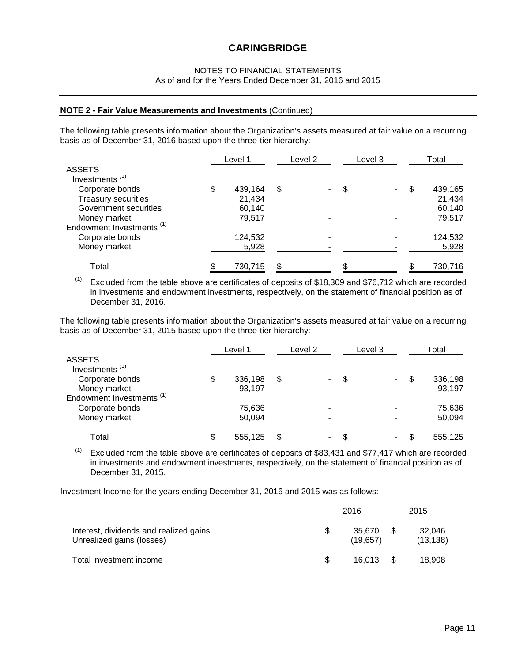# NOTES TO FINANCIAL STATEMENTS As of and for the Years Ended December 31, 2016 and 2015

## **NOTE 2 - Fair Value Measurements and Investments** (Continued)

The following table presents information about the Organization's assets measured at fair value on a recurring basis as of December 31, 2016 based upon the three-tier hierarchy:

|                                      | Level 1       | Level 2 | Level 3 | Total         |
|--------------------------------------|---------------|---------|---------|---------------|
| <b>ASSETS</b>                        |               |         |         |               |
| Investments <sup>(1)</sup>           |               |         |         |               |
| Corporate bonds                      | \$<br>439,164 | \$<br>۰ | \$<br>۰ | \$<br>439,165 |
| <b>Treasury securities</b>           | 21,434        |         |         | 21,434        |
| Government securities                | 60,140        |         |         | 60,140        |
| Money market                         | 79,517        |         |         | 79,517        |
| Endowment Investments <sup>(1)</sup> |               |         |         |               |
| Corporate bonds                      | 124,532       | -       |         | 124,532       |
| Money market                         | 5,928         |         |         | 5,928         |
| Total                                | 730,715       |         | ۰       | 730,716       |

 $(1)$  Excluded from the table above are certificates of deposits of \$18,309 and \$76,712 which are recorded in investments and endowment investments, respectively, on the statement of financial position as of December 31, 2016.

The following table presents information about the Organization's assets measured at fair value on a recurring basis as of December 31, 2015 based upon the three-tier hierarchy:

|                                      | Level 1 |         | Level 2 |    | Level 3 |   | Total   |
|--------------------------------------|---------|---------|---------|----|---------|---|---------|
| <b>ASSETS</b>                        |         |         |         |    |         |   |         |
| Investments <sup>(1)</sup>           |         |         |         |    |         |   |         |
| Corporate bonds                      |         | 336,198 | \$<br>۰ | \$ |         | S | 336,198 |
| Money market                         |         | 93,197  | ۰       |    |         |   | 93,197  |
| Endowment Investments <sup>(1)</sup> |         |         |         |    |         |   |         |
| Corporate bonds                      |         | 75,636  | -       |    |         |   | 75,636  |
| Money market                         |         | 50,094  | -       |    |         |   | 50,094  |
| Total                                |         | 555,125 | ۰       | \$ |         |   | 555,125 |

 $(1)$  Excluded from the table above are certificates of deposits of \$83,431 and \$77,417 which are recorded in investments and endowment investments, respectively, on the statement of financial position as of December 31, 2015.

Investment Income for the years ending December 31, 2016 and 2015 was as follows:

|                                                                     |   | 2016               | 2015                |
|---------------------------------------------------------------------|---|--------------------|---------------------|
| Interest, dividends and realized gains<br>Unrealized gains (losses) |   | 35.670<br>(19.657) | 32.046<br>(13, 138) |
| Total investment income                                             | S | 16.013             | 18,908              |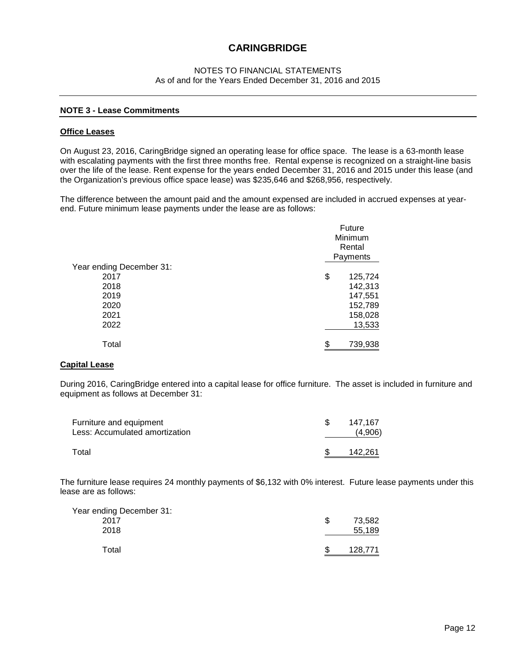## NOTES TO FINANCIAL STATEMENTS As of and for the Years Ended December 31, 2016 and 2015

## **NOTE 3 - Lease Commitments**

### **Office Leases**

On August 23, 2016, CaringBridge signed an operating lease for office space. The lease is a 63-month lease with escalating payments with the first three months free. Rental expense is recognized on a straight-line basis over the life of the lease. Rent expense for the years ended December 31, 2016 and 2015 under this lease (and the Organization's previous office space lease) was \$235,646 and \$268,956, respectively.

The difference between the amount paid and the amount expensed are included in accrued expenses at yearend. Future minimum lease payments under the lease are as follows:

|                          | Future<br>Minimum<br>Rental<br>Payments |  |
|--------------------------|-----------------------------------------|--|
| Year ending December 31: |                                         |  |
| 2017                     | \$<br>125,724                           |  |
| 2018                     | 142,313                                 |  |
| 2019                     | 147,551                                 |  |
| 2020                     | 152,789                                 |  |
| 2021                     | 158,028                                 |  |
| 2022                     | 13,533                                  |  |
| Total                    | ደ<br>739,938                            |  |

# **Capital Lease**

During 2016, CaringBridge entered into a capital lease for office furniture. The asset is included in furniture and equipment as follows at December 31:

| Furniture and equipment<br>Less: Accumulated amortization | 147.167<br>(4,906) |
|-----------------------------------------------------------|--------------------|
| Total                                                     | 142.261            |

The furniture lease requires 24 monthly payments of \$6,132 with 0% interest. Future lease payments under this lease are as follows:

| Year ending December 31: |         |
|--------------------------|---------|
| 2017                     | 73,582  |
| 2018                     | 55,189  |
| Total                    | 128,771 |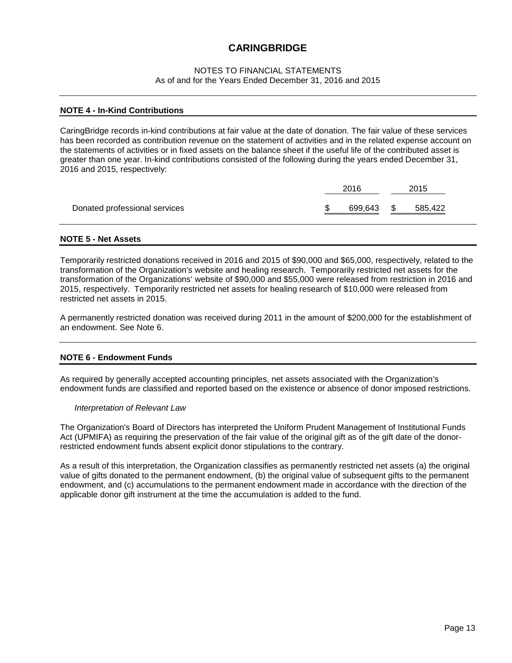## NOTES TO FINANCIAL STATEMENTS As of and for the Years Ended December 31, 2016 and 2015

# **NOTE 4 - In-Kind Contributions**

CaringBridge records in-kind contributions at fair value at the date of donation. The fair value of these services has been recorded as contribution revenue on the statement of activities and in the related expense account on the statements of activities or in fixed assets on the balance sheet if the useful life of the contributed asset is greater than one year. In-kind contributions consisted of the following during the years ended December 31, 2016 and 2015, respectively:

|                               | 2016 |            |  | 2015    |
|-------------------------------|------|------------|--|---------|
| Donated professional services |      | 699,643 \$ |  | 585,422 |

### **NOTE 5 - Net Assets**

Temporarily restricted donations received in 2016 and 2015 of \$90,000 and \$65,000, respectively, related to the transformation of the Organization's website and healing research. Temporarily restricted net assets for the transformation of the Organizations' website of \$90,000 and \$55,000 were released from restriction in 2016 and 2015, respectively. Temporarily restricted net assets for healing research of \$10,000 were released from restricted net assets in 2015.

A permanently restricted donation was received during 2011 in the amount of \$200,000 for the establishment of an endowment. See Note 6.

# **NOTE 6 - Endowment Funds**

As required by generally accepted accounting principles, net assets associated with the Organization's endowment funds are classified and reported based on the existence or absence of donor imposed restrictions.

#### *Interpretation of Relevant Law*

The Organization's Board of Directors has interpreted the Uniform Prudent Management of Institutional Funds Act (UPMIFA) as requiring the preservation of the fair value of the original gift as of the gift date of the donorrestricted endowment funds absent explicit donor stipulations to the contrary.

As a result of this interpretation, the Organization classifies as permanently restricted net assets (a) the original value of gifts donated to the permanent endowment, (b) the original value of subsequent gifts to the permanent endowment, and (c) accumulations to the permanent endowment made in accordance with the direction of the applicable donor gift instrument at the time the accumulation is added to the fund.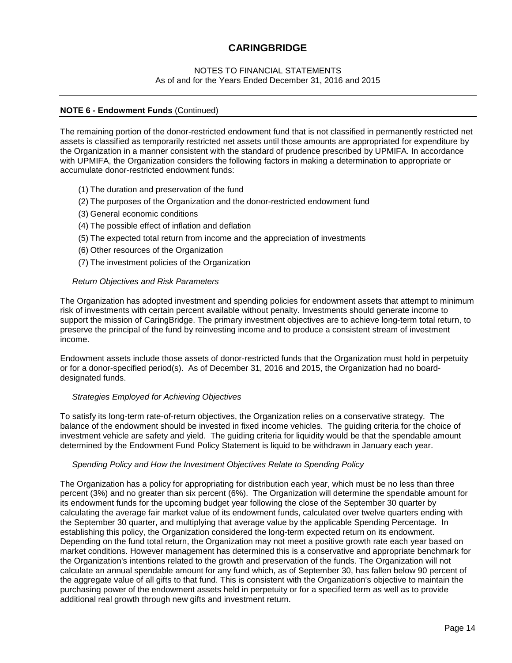# NOTES TO FINANCIAL STATEMENTS As of and for the Years Ended December 31, 2016 and 2015

# **NOTE 6 - Endowment Funds** (Continued)

The remaining portion of the donor-restricted endowment fund that is not classified in permanently restricted net assets is classified as temporarily restricted net assets until those amounts are appropriated for expenditure by the Organization in a manner consistent with the standard of prudence prescribed by UPMIFA. In accordance with UPMIFA, the Organization considers the following factors in making a determination to appropriate or accumulate donor-restricted endowment funds:

- (1) The duration and preservation of the fund
- (2) The purposes of the Organization and the donor-restricted endowment fund
- (3) General economic conditions
- (4) The possible effect of inflation and deflation
- (5) The expected total return from income and the appreciation of investments
- (6) Other resources of the Organization
- (7) The investment policies of the Organization

# *Return Objectives and Risk Parameters*

The Organization has adopted investment and spending policies for endowment assets that attempt to minimum risk of investments with certain percent available without penalty. Investments should generate income to support the mission of CaringBridge. The primary investment objectives are to achieve long-term total return, to preserve the principal of the fund by reinvesting income and to produce a consistent stream of investment income.

Endowment assets include those assets of donor-restricted funds that the Organization must hold in perpetuity or for a donor-specified period(s). As of December 31, 2016 and 2015, the Organization had no boarddesignated funds.

# *Strategies Employed for Achieving Objectives*

To satisfy its long-term rate-of-return objectives, the Organization relies on a conservative strategy. The balance of the endowment should be invested in fixed income vehicles. The guiding criteria for the choice of investment vehicle are safety and yield. The guiding criteria for liquidity would be that the spendable amount determined by the Endowment Fund Policy Statement is liquid to be withdrawn in January each year.

# *Spending Policy and How the Investment Objectives Relate to Spending Policy*

The Organization has a policy for appropriating for distribution each year, which must be no less than three percent (3%) and no greater than six percent (6%). The Organization will determine the spendable amount for its endowment funds for the upcoming budget year following the close of the September 30 quarter by calculating the average fair market value of its endowment funds, calculated over twelve quarters ending with the September 30 quarter, and multiplying that average value by the applicable Spending Percentage. In establishing this policy, the Organization considered the long-term expected return on its endowment. Depending on the fund total return, the Organization may not meet a positive growth rate each year based on market conditions. However management has determined this is a conservative and appropriate benchmark for the Organization's intentions related to the growth and preservation of the funds. The Organization will not calculate an annual spendable amount for any fund which, as of September 30, has fallen below 90 percent of the aggregate value of all gifts to that fund. This is consistent with the Organization's objective to maintain the purchasing power of the endowment assets held in perpetuity or for a specified term as well as to provide additional real growth through new gifts and investment return.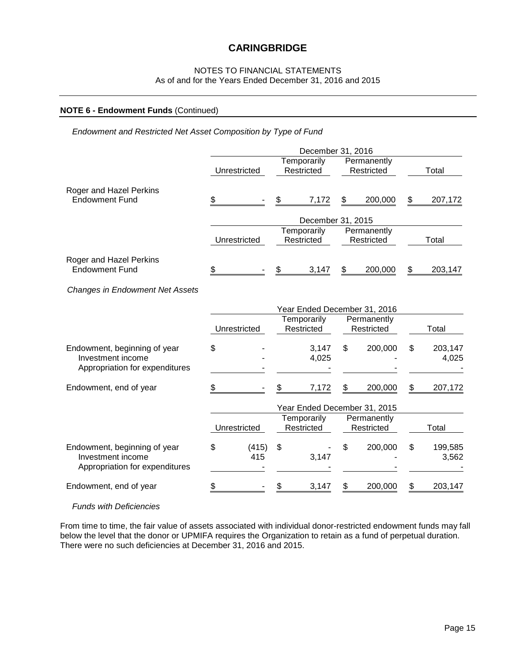# NOTES TO FINANCIAL STATEMENTS As of and for the Years Ended December 31, 2016 and 2015

# **NOTE 6 - Endowment Funds** (Continued)

# *Endowment and Restricted Net Asset Composition by Type of Fund*

|                                                                                     | December 31, 2016            |                           |                              |                        |
|-------------------------------------------------------------------------------------|------------------------------|---------------------------|------------------------------|------------------------|
|                                                                                     | Unrestricted                 | Temporarily<br>Restricted | Permanently<br>Restricted    | Total                  |
| Roger and Hazel Perkins<br><b>Endowment Fund</b>                                    | \$                           | \$<br>7,172               | 200,000<br>\$                | \$<br>207,172          |
|                                                                                     | December 31, 2015            |                           |                              |                        |
|                                                                                     | Unrestricted                 | Temporarily<br>Restricted | Permanently<br>Restricted    | Total                  |
| Roger and Hazel Perkins<br><b>Endowment Fund</b>                                    | \$                           | \$<br>3,147               | \$<br>200,000                | \$<br>203,147          |
| <b>Changes in Endowment Net Assets</b>                                              |                              |                           |                              |                        |
|                                                                                     |                              |                           | Year Ended December 31, 2016 |                        |
|                                                                                     | Unrestricted                 | Temporarily<br>Restricted | Permanently<br>Restricted    | Total                  |
| Endowment, beginning of year<br>Investment income<br>Appropriation for expenditures | \$                           | 3,147<br>4,025            | \$<br>200,000                | 203,147<br>\$<br>4,025 |
| Endowment, end of year                                                              | \$                           | 7,172                     | \$<br>200,000                | \$<br>207,172          |
|                                                                                     | Year Ended December 31, 2015 |                           |                              |                        |
|                                                                                     | Unrestricted                 | Temporarily<br>Restricted | Permanently<br>Restricted    | Total                  |
| Endowment, beginning of year<br>Investment income<br>Appropriation for expenditures | \$<br>(415)<br>415           | \$<br>3,147               | \$<br>200,000                | \$<br>199,585<br>3,562 |
| Endowment, end of year                                                              | \$                           | \$<br>3,147               | \$<br>200,000                | \$<br>203,147          |

*Funds with Deficiencies*

From time to time, the fair value of assets associated with individual donor-restricted endowment funds may fall below the level that the donor or UPMIFA requires the Organization to retain as a fund of perpetual duration. There were no such deficiencies at December 31, 2016 and 2015.